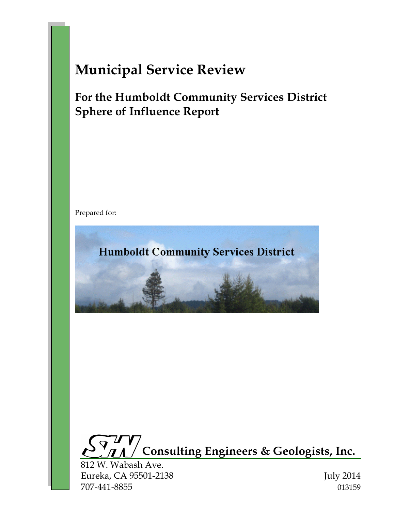# **Municipal Service Review**

# **For the Humboldt Community Services District Sphere of Influence Report**

Prepared for:





812 W. Wabash Ave. Eureka, CA 95501-2138 July 2014 707-441-8855 013159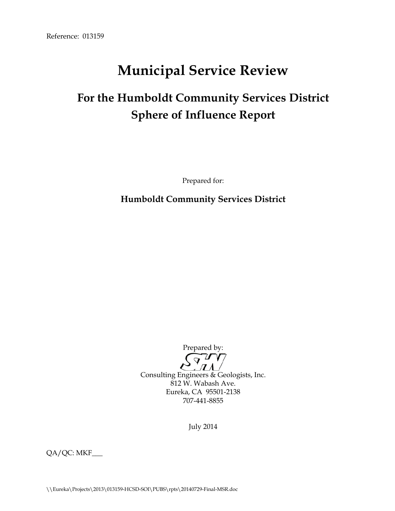# **Municipal Service Review**

# **For the Humboldt Community Services District Sphere of Influence Report**

Prepared for:

**Humboldt Community Services District**

Prepared by:

 $\overline{Q}$  $\boldsymbol{\pi}$ Consulting Engineers & Geologists, Inc. 812 W. Wabash Ave. Eureka, CA 95501-2138 707-441-8855

July 2014

QA/QC: MKF\_\_\_

\\Eureka\Projects\2013\013159-HCSD-SOI\PUBS\rpts\20140729-Final-MSR.doc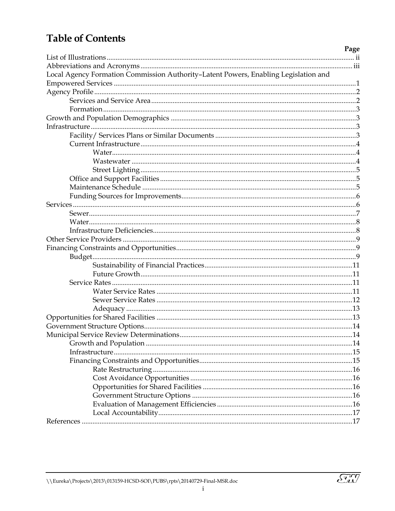# **Table of Contents**

| Page                                                                                |  |
|-------------------------------------------------------------------------------------|--|
|                                                                                     |  |
|                                                                                     |  |
| Local Agency Formation Commission Authority-Latent Powers, Enabling Legislation and |  |
|                                                                                     |  |
|                                                                                     |  |
|                                                                                     |  |
|                                                                                     |  |
|                                                                                     |  |
|                                                                                     |  |
|                                                                                     |  |
|                                                                                     |  |
|                                                                                     |  |
|                                                                                     |  |
|                                                                                     |  |
|                                                                                     |  |
|                                                                                     |  |
|                                                                                     |  |
|                                                                                     |  |
|                                                                                     |  |
|                                                                                     |  |
|                                                                                     |  |
|                                                                                     |  |
|                                                                                     |  |
|                                                                                     |  |
|                                                                                     |  |
|                                                                                     |  |
|                                                                                     |  |
|                                                                                     |  |
|                                                                                     |  |
|                                                                                     |  |
|                                                                                     |  |
|                                                                                     |  |
|                                                                                     |  |
|                                                                                     |  |
|                                                                                     |  |
|                                                                                     |  |
|                                                                                     |  |
|                                                                                     |  |
|                                                                                     |  |
|                                                                                     |  |
|                                                                                     |  |
|                                                                                     |  |
|                                                                                     |  |

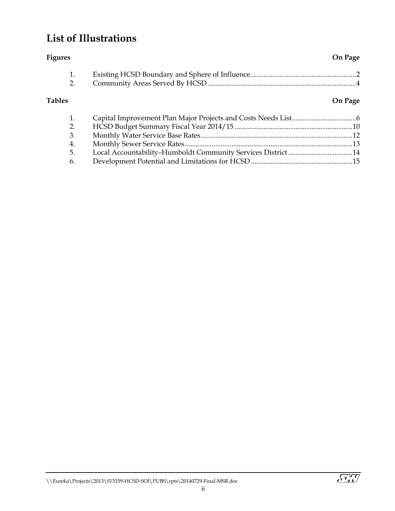# <span id="page-3-0"></span>**List of Illustrations**

| <b>Figures</b> |                                                              | On Page |
|----------------|--------------------------------------------------------------|---------|
| 1.             |                                                              |         |
| 2.             |                                                              |         |
| <b>Tables</b>  |                                                              | On Page |
| 1.             |                                                              |         |
| 2.             |                                                              |         |
| 3.             |                                                              |         |
| 4.             |                                                              |         |
| 5.             | Local Accountability-Humboldt Community Services District 14 |         |
| 6.             |                                                              |         |



ii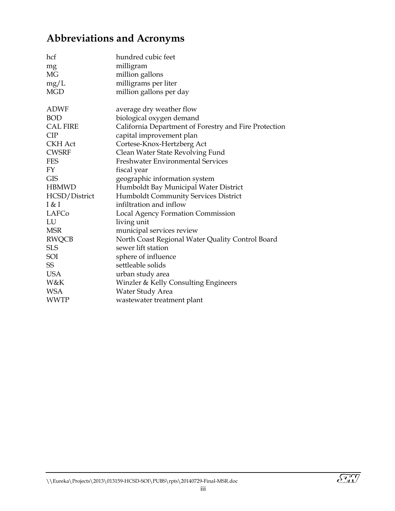# <span id="page-4-0"></span>**Abbreviations and Acronyms**

| hcf<br>mg<br><b>MG</b><br>mg/L<br><b>MGD</b> | hundred cubic feet<br>milligram<br>million gallons<br>milligrams per liter<br>million gallons per day |
|----------------------------------------------|-------------------------------------------------------------------------------------------------------|
| <b>ADWF</b>                                  | average dry weather flow                                                                              |
| <b>BOD</b>                                   | biological oxygen demand                                                                              |
| <b>CAL FIRE</b><br>CIP                       | California Department of Forestry and Fire Protection<br>capital improvement plan                     |
| <b>CKH</b> Act                               | Cortese-Knox-Hertzberg Act                                                                            |
| <b>CWSRF</b>                                 | Clean Water State Revolving Fund                                                                      |
| <b>FES</b>                                   | <b>Freshwater Environmental Services</b>                                                              |
| FY                                           | fiscal year                                                                                           |
| <b>GIS</b>                                   | geographic information system                                                                         |
| <b>HBMWD</b>                                 | Humboldt Bay Municipal Water District                                                                 |
| HCSD/District                                | Humboldt Community Services District                                                                  |
| I & I                                        | infiltration and inflow                                                                               |
| LAFCo                                        | Local Agency Formation Commission                                                                     |
| LU                                           | living unit                                                                                           |
| <b>MSR</b>                                   | municipal services review                                                                             |
| <b>RWQCB</b>                                 | North Coast Regional Water Quality Control Board                                                      |
| <b>SLS</b>                                   | sewer lift station                                                                                    |
| SOI                                          | sphere of influence                                                                                   |
| SS                                           | settleable solids                                                                                     |
| <b>USA</b>                                   | urban study area                                                                                      |
| <b>W&amp;K</b>                               | Winzler & Kelly Consulting Engineers                                                                  |
| <b>WSA</b>                                   | Water Study Area                                                                                      |
| <b>WWTP</b>                                  | wastewater treatment plant                                                                            |

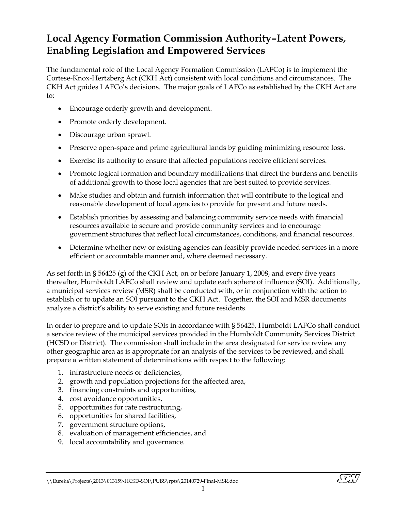# <span id="page-5-0"></span>**Local Agency Formation Commission Authority–Latent Powers, Enabling Legislation and Empowered Services**

The fundamental role of the Local Agency Formation Commission (LAFCo) is to implement the Cortese-Knox-Hertzberg Act (CKH Act) consistent with local conditions and circumstances. The CKH Act guides LAFCo's decisions. The major goals of LAFCo as established by the CKH Act are to:

- Encourage orderly growth and development.
- Promote orderly development.
- Discourage urban sprawl.
- Preserve open-space and prime agricultural lands by guiding minimizing resource loss.
- Exercise its authority to ensure that affected populations receive efficient services.
- Promote logical formation and boundary modifications that direct the burdens and benefits of additional growth to those local agencies that are best suited to provide services.
- Make studies and obtain and furnish information that will contribute to the logical and reasonable development of local agencies to provide for present and future needs.
- Establish priorities by assessing and balancing community service needs with financial resources available to secure and provide community services and to encourage government structures that reflect local circumstances, conditions, and financial resources.
- Determine whether new or existing agencies can feasibly provide needed services in a more efficient or accountable manner and, where deemed necessary.

As set forth in § 56425 (g) of the CKH Act, on or before January 1, 2008, and every five years thereafter, Humboldt LAFCo shall review and update each sphere of influence (SOI). Additionally, a municipal services review (MSR) shall be conducted with, or in conjunction with the action to establish or to update an SOI pursuant to the CKH Act. Together, the SOI and MSR documents analyze a district's ability to serve existing and future residents.

In order to prepare and to update SOIs in accordance with § 56425, Humboldt LAFCo shall conduct a service review of the municipal services provided in the Humboldt Community Services District (HCSD or District). The commission shall include in the area designated for service review any other geographic area as is appropriate for an analysis of the services to be reviewed, and shall prepare a written statement of determinations with respect to the following:

- 1. infrastructure needs or deficiencies,
- 2. growth and population projections for the affected area,
- 3. financing constraints and opportunities,
- 4. cost avoidance opportunities,
- 5. opportunities for rate restructuring,
- 6. opportunities for shared facilities,
- 7. government structure options,
- 8. evaluation of management efficiencies, and
- 9. local accountability and governance.

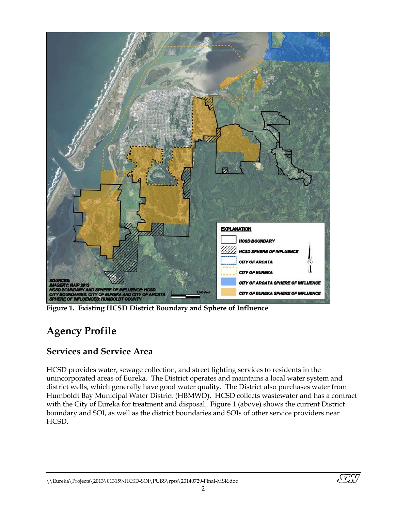

**Figure 1. Existing HCSD District Boundary and Sphere of Influence**

# <span id="page-6-0"></span>**Agency Profile**

### <span id="page-6-1"></span>**Services and Service Area**

HCSD provides water, sewage collection, and street lighting services to residents in the unincorporated areas of Eureka. The District operates and maintains a local water system and district wells, which generally have good water quality. The District also purchases water from Humboldt Bay Municipal Water District (HBMWD). HCSD collects wastewater and has a contract with the City of Eureka for treatment and disposal. Figure 1 (above) shows the current District boundary and SOI, as well as the district boundaries and SOIs of other service providers near HCSD.

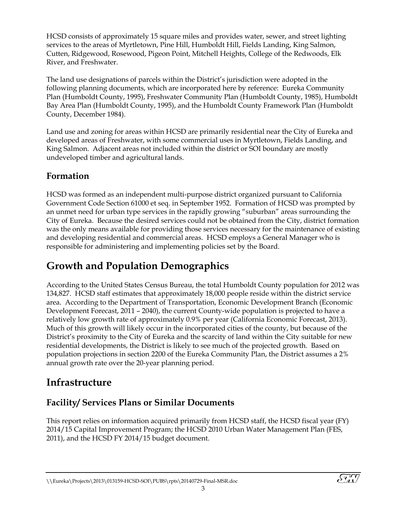HCSD consists of approximately 15 square miles and provides water, sewer, and street lighting services to the areas of Myrtletown, Pine Hill, Humboldt Hill, Fields Landing, King Salmon, Cutten, Ridgewood, Rosewood, Pigeon Point, Mitchell Heights, College of the Redwoods, Elk River, and Freshwater.

The land use designations of parcels within the District's jurisdiction were adopted in the following planning documents, which are incorporated here by reference:Eureka Community Plan (Humboldt County, 1995), Freshwater Community Plan (Humboldt County, 1985), Humboldt Bay Area Plan (Humboldt County, 1995), and the Humboldt County Framework Plan (Humboldt County, December 1984).

Land use and zoning for areas within HCSD are primarily residential near the City of Eureka and developed areas of Freshwater, with some commercial uses in Myrtletown, Fields Landing, and King Salmon. Adjacent areas not included within the district or SOI boundary are mostly undeveloped timber and agricultural lands.

### <span id="page-7-0"></span>**Formation**

HCSD was formed as an independent multi-purpose district organized pursuant to California Government Code Section 61000 et seq. in September 1952. Formation of HCSD was prompted by an unmet need for urban type services in the rapidly growing "suburban" areas surrounding the City of Eureka. Because the desired services could not be obtained from the City, district formation was the only means available for providing those services necessary for the maintenance of existing and developing residential and commercial areas. HCSD employs a General Manager who is responsible for administering and implementing policies set by the Board.

# <span id="page-7-1"></span>**Growth and Population Demographics**

According to the United States Census Bureau, the total Humboldt County population for 2012 was 134,827. HCSD staff estimates that approximately 18,000 people reside within the district service area. According to the Department of Transportation, Economic Development Branch (Economic Development Forecast, 2011 – 2040), the current County-wide population is projected to have a relatively low growth rate of approximately 0.9% per year (California Economic Forecast, 2013). Much of this growth will likely occur in the incorporated cities of the county, but because of the District's proximity to the City of Eureka and the scarcity of land within the City suitable for new residential developments, the District is likely to see much of the projected growth. Based on population projections in section 2200 of the Eureka Community Plan, the District assumes a 2% annual growth rate over the 20-year planning period.

# <span id="page-7-2"></span>**Infrastructure**

### <span id="page-7-3"></span>**Facility/ Services Plans or Similar Documents**

This report relies on information acquired primarily from HCSD staff, the HCSD fiscal year (FY) 2014/15 Capital Improvement Program; the HCSD 2010 Urban Water Management Plan (FES, 2011), and the HCSD FY 2014/15 budget document.

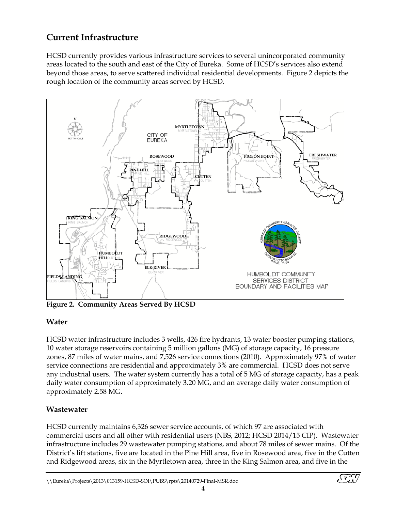### <span id="page-8-0"></span>**Current Infrastructure**

HCSD currently provides various infrastructure services to several unincorporated community areas located to the south and east of the City of Eureka. Some of HCSD's services also extend beyond those areas, to serve scattered individual residential developments. Figure 2 depicts the rough location of the community areas served by HCSD.



**Figure 2. Community Areas Served By HCSD**

#### <span id="page-8-1"></span>**Water**

HCSD water infrastructure includes 3 wells, 426 fire hydrants, 13 water booster pumping stations, 10 water storage reservoirs containing 5 million gallons (MG) of storage capacity, 16 pressure zones, 87 miles of water mains, and 7,526 service connections (2010). Approximately 97% of water service connections are residential and approximately 3% are commercial. HCSD does not serve any industrial users. The water system currently has a total of 5 MG of storage capacity, has a peak daily water consumption of approximately 3.20 MG, and an average daily water consumption of approximately 2.58 MG.

#### <span id="page-8-2"></span>**Wastewater**

HCSD currently maintains 6,326 sewer service accounts, of which 97 are associated with commercial users and all other with residential users (NBS, 2012; HCSD 2014/15 CIP). Wastewater infrastructure includes 29 wastewater pumping stations, and about 78 miles of sewer mains. Of the District's lift stations, five are located in the Pine Hill area, five in Rosewood area, five in the Cutten and Ridgewood areas, six in the Myrtletown area, three in the King Salmon area, and five in the

<u>SM</u>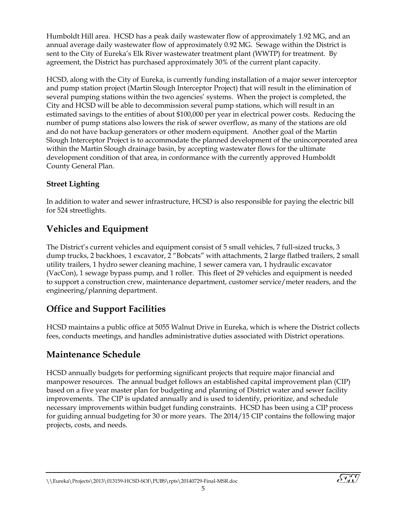Humboldt Hill area. HCSD has a peak daily wastewater flow of approximately 1.92 MG, and an annual average daily wastewater flow of approximately 0.92 MG. Sewage within the District is sent to the City of Eureka's Elk River wastewater treatment plant (WWTP) for treatment. By agreement, the District has purchased approximately 30% of the current plant capacity.

HCSD, along with the City of Eureka, is currently funding installation of a major sewer interceptor and pump station project (Martin Slough Interceptor Project) that will result in the elimination of several pumping stations within the two agencies' systems. When the project is completed, the City and HCSD will be able to decommission several pump stations, which will result in an estimated savings to the entities of about \$100,000 per year in electrical power costs. Reducing the number of pump stations also lowers the risk of sewer overflow, as many of the stations are old and do not have backup generators or other modern equipment. Another goal of the Martin Slough Interceptor Project is to accommodate the planned development of the unincorporated area within the Martin Slough drainage basin, by accepting wastewater flows for the ultimate development condition of that area, in conformance with the currently approved Humboldt County General Plan.

#### <span id="page-9-0"></span>**Street Lighting**

In addition to water and sewer infrastructure, HCSD is also responsible for paying the electric bill for 524 streetlights.

### **Vehicles and Equipment**

The District's current vehicles and equipment consist of 5 small vehicles, 7 full-sized trucks, 3 dump trucks, 2 backhoes, 1 excavator, 2 "Bobcats" with attachments, 2 large flatbed trailers, 2 small utility trailers, 1 hydro sewer cleaning machine, 1 sewer camera van, 1 hydraulic excavator (VacCon), 1 sewage bypass pump, and 1 roller. This fleet of 29 vehicles and equipment is needed to support a construction crew, maintenance department, customer service/meter readers, and the engineering/planning department.

### <span id="page-9-1"></span>**Office and Support Facilities**

HCSD maintains a public office at 5055 Walnut Drive in Eureka, which is where the District collects fees, conducts meetings, and handles administrative duties associated with District operations.

### <span id="page-9-2"></span>**Maintenance Schedule**

HCSD annually budgets for performing significant projects that require major financial and manpower resources. The annual budget follows an established capital improvement plan (CIP) based on a five year master plan for budgeting and planning of District water and sewer facility improvements. The CIP is updated annually and is used to identify, prioritize, and schedule necessary improvements within budget funding constraints. HCSD has been using a CIP process for guiding annual budgeting for 30 or more years. The 2014/15 CIP contains the following major projects, costs, and needs.

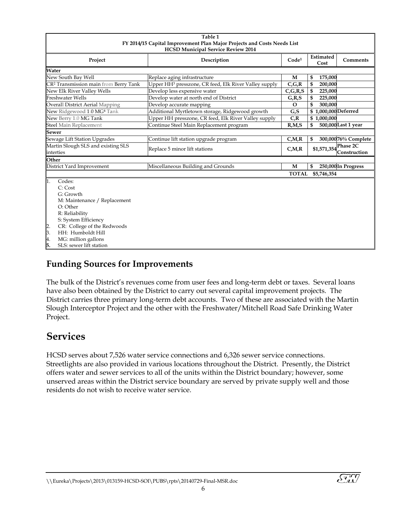<span id="page-10-3"></span>

| Table 1                                                                 |                                                                   |                         |                          |                     |  |  |  |
|-------------------------------------------------------------------------|-------------------------------------------------------------------|-------------------------|--------------------------|---------------------|--|--|--|
| FY 2014/15 Capital Improvement Plan Major Projects and Costs Needs List |                                                                   |                         |                          |                     |  |  |  |
| <b>HCSD Municipal Service Review 2014</b>                               |                                                                   |                         |                          |                     |  |  |  |
| Project                                                                 | Code <sup>1</sup>                                                 | Estimated<br>Cost       | Comments                 |                     |  |  |  |
| Water                                                                   |                                                                   |                         |                          |                     |  |  |  |
| New South Bay Well                                                      | Replace aging infrastructure                                      | M                       | 175,000<br>\$            |                     |  |  |  |
| CR <sup>2</sup> Transmission main from Berry Tank                       | Upper HH <sup>3</sup> presszone, CR feed, Elk River Valley supply | $C$ , $G$ , $R$         | \$<br>200,000            |                     |  |  |  |
| New Elk River Valley Wells                                              | Develop less expensive water                                      | $C$ , $G$ , $R$ , $S$   | $\mathfrak s$<br>225,000 |                     |  |  |  |
| <b>Freshwater Wells</b>                                                 | Develop water at north end of District                            | G, R, S                 | \$<br>225,000            |                     |  |  |  |
| <b>Overall District Aerial Mapping</b>                                  | Develop accurate mapping                                          | $\Omega$                | \$<br>300,000            |                     |  |  |  |
| New Ridgewood 1.0 MG <sup>4</sup> Tank                                  | Additional Myrtletown storage, Ridgewood growth                   | G.S                     | \$1,000,000 Deferred     |                     |  |  |  |
| New Berry 1.0 MG Tank                                                   | Upper HH presszone, CR feed, Elk River Valley supply              | C, R                    | \$1,000,000              |                     |  |  |  |
| <b>Steel Main Replacement</b>                                           | Continue Steel Main Replacement program                           | R, M, S                 | \$                       | 500,000Last 1 year  |  |  |  |
| <b>Sewer</b>                                                            |                                                                   |                         |                          |                     |  |  |  |
| Sewage Lift Station Upgrades                                            | Continue lift station upgrade program                             | $C_\text{r}M_\text{r}R$ | \$                       | 300,00076% Complete |  |  |  |
| Martin Slough SLS and existing SLS<br>interties                         | Replace 5 minor lift stations                                     | $C$ , $M$ , $R$         | $$1,571,354$ Phase 2C    | Construction        |  |  |  |
| Other                                                                   |                                                                   |                         |                          |                     |  |  |  |
| District Yard Improvement                                               | Miscellaneous Building and Grounds                                | M                       | \$                       | 250,000In Progress  |  |  |  |
|                                                                         |                                                                   | <b>TOTAL</b>            | \$5,746,354              |                     |  |  |  |
| Codes:<br>1.                                                            |                                                                   |                         |                          |                     |  |  |  |
| C: Cost                                                                 |                                                                   |                         |                          |                     |  |  |  |
| G: Growth                                                               |                                                                   |                         |                          |                     |  |  |  |
| M: Maintenance / Replacement                                            |                                                                   |                         |                          |                     |  |  |  |
| O: Other                                                                |                                                                   |                         |                          |                     |  |  |  |
| R: Reliability                                                          |                                                                   |                         |                          |                     |  |  |  |
| S: System Efficiency                                                    |                                                                   |                         |                          |                     |  |  |  |
| CR: College of the Redwoods                                             |                                                                   |                         |                          |                     |  |  |  |
| $\frac{2}{3}$ .<br>HH: Humboldt Hill                                    |                                                                   |                         |                          |                     |  |  |  |
| 4.<br>MG: million gallons                                               |                                                                   |                         |                          |                     |  |  |  |
| 5.<br>SLS: sewer lift station                                           |                                                                   |                         |                          |                     |  |  |  |

### <span id="page-10-0"></span>**Funding Sources for Improvements**

The bulk of the District's revenues come from user fees and long-term debt or taxes. Several loans have also been obtained by the District to carry out several capital improvement projects. The District carries three primary long-term debt accounts. Two of these are associated with the Martin Slough Interceptor Project and the other with the Freshwater/Mitchell Road Safe Drinking Water Project.

## <span id="page-10-1"></span>**Services**

<span id="page-10-2"></span>HCSD serves about 7,526 water service connections and 6,326 sewer service connections. Streetlights are also provided in various locations throughout the District. Presently, the District offers water and sewer services to all of the units within the District boundary; however, some unserved areas within the District service boundary are served by private supply well and those residents do not wish to receive water service.

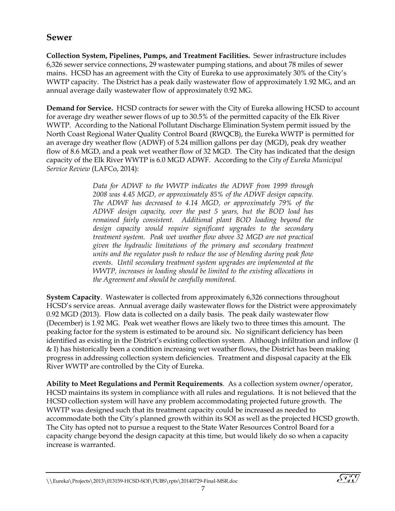#### **Sewer**

**Collection System, Pipelines, Pumps, and Treatment Facilities.** Sewer infrastructure includes 6,326 sewer service connections, 29 wastewater pumping stations, and about 78 miles of sewer mains. HCSD has an agreement with the City of Eureka to use approximately 30% of the City's WWTP capacity. The District has a peak daily wastewater flow of approximately 1.92 MG, and an annual average daily wastewater flow of approximately 0.92 MG.

**Demand for Service.** HCSD contracts for sewer with the City of Eureka allowing HCSD to account for average dry weather sewer flows of up to 30.5% of the permitted capacity of the Elk River WWTP. According to the National Pollutant Discharge Elimination System permit issued by the North Coast Regional Water Quality Control Board (RWQCB), the Eureka WWTP is permitted for an average dry weather flow (ADWF) of 5.24 million gallons per day (MGD), peak dry weather flow of 8.6 MGD, and a peak wet weather flow of 32 MGD. The City has indicated that the design capacity of the Elk River WWTP is 6.0 MGD ADWF. According to the *City of Eureka Municipal Service Review* (LAFCo, 2014):

> *Data for ADWF to the WWTP indicates the ADWF from 1999 through 2008 was 4.45 MGD, or approximately 85% of the ADWF design capacity. The ADWF has decreased to 4.14 MGD, or approximately 79% of the ADWF design capacity, over the past 5 years, but the BOD load has remained fairly consistent. Additional plant BOD loading beyond the design capacity would require significant upgrades to the secondary treatment system. Peak wet weather flow above 32 MGD are not practical given the hydraulic limitations of the primary and secondary treatment units and the regulator push to reduce the use of blending during peak flow events. Until secondary treatment system upgrades are implemented at the WWTP, increases in loading should be limited to the existing allocations in the Agreement and should be carefully monitored.*

**System Capacity**. Wastewater is collected from approximately 6,326 connections throughout HCSD's service areas. Annual average daily wastewater flows for the District were approximately 0.92 MGD (2013). Flow data is collected on a daily basis. The peak daily wastewater flow (December) is 1.92 MG. Peak wet weather flows are likely two to three times this amount. The peaking factor for the system is estimated to be around six. No significant deficiency has been identified as existing in the District's existing collection system. Although infiltration and inflow (I & I) has historically been a condition increasing wet weather flows, the District has been making progress in addressing collection system deficiencies. Treatment and disposal capacity at the Elk River WWTP are controlled by the City of Eureka.

**Ability to Meet Regulations and Permit Requirements**. As a collection system owner/operator, HCSD maintains its system in compliance with all rules and regulations. It is not believed that the HCSD collection system will have any problem accommodating projected future growth. The WWTP was designed such that its treatment capacity could be increased as needed to accommodate both the City's planned growth within its SOI as well as the projected HCSD growth. The City has opted not to pursue a request to the State Water Resources Control Board for a capacity change beyond the design capacity at this time, but would likely do so when a capacity increase is warranted.

 $\widetilde{\mathcal{S}^{\prime\prime}_{\prime\prime\prime}}$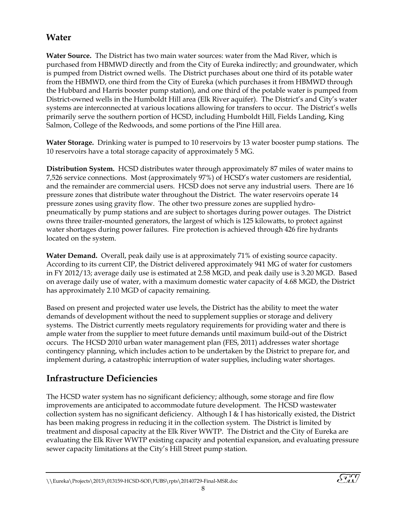### <span id="page-12-0"></span>**Water**

**Water Source.** The District has two main water sources: water from the Mad River, which is purchased from HBMWD directly and from the City of Eureka indirectly; and groundwater, which is pumped from District owned wells. The District purchases about one third of its potable water from the HBMWD, one third from the City of Eureka (which purchases it from HBMWD through the Hubbard and Harris booster pump station), and one third of the potable water is pumped from District-owned wells in the Humboldt Hill area (Elk River aquifer). The District's and City's water systems are interconnected at various locations allowing for transfers to occur. The District's wells primarily serve the southern portion of HCSD, including Humboldt Hill, Fields Landing, King Salmon, College of the Redwoods, and some portions of the Pine Hill area.

**Water Storage.** Drinking water is pumped to 10 reservoirs by 13 water booster pump stations. The 10 reservoirs have a total storage capacity of approximately 5 MG.

**Distribution System.** HCSD distributes water through approximately 87 miles of water mains to 7,526 service connections. Most (approximately 97%) of HCSD's water customers are residential, and the remainder are commercial users. HCSD does not serve any industrial users. There are 16 pressure zones that distribute water throughout the District. The water reservoirs operate 14 pressure zones using gravity flow. The other two pressure zones are supplied hydropneumatically by pump stations and are subject to shortages during power outages. The District owns three trailer-mounted generators, the largest of which is 125 kilowatts, to protect against water shortages during power failures. Fire protection is achieved through 426 fire hydrants located on the system.

**Water Demand.** Overall, peak daily use is at approximately 71% of existing source capacity. According to its current CIP, the District delivered approximately 941 MG of water for customers in FY 2012/13; average daily use is estimated at 2.58 MGD, and peak daily use is 3.20 MGD. Based on average daily use of water, with a maximum domestic water capacity of 4.68 MGD, the District has approximately 2.10 MGD of capacity remaining.

Based on present and projected water use levels, the District has the ability to meet the water demands of development without the need to supplement supplies or storage and delivery systems. The District currently meets regulatory requirements for providing water and there is ample water from the supplier to meet future demands until maximum build-out of the District occurs. The HCSD 2010 urban water management plan (FES, 2011) addresses water shortage contingency planning, which includes action to be undertaken by the District to prepare for, and implement during, a catastrophic interruption of water supplies, including water shortages.

### <span id="page-12-1"></span>**Infrastructure Deficiencies**

The HCSD water system has no significant deficiency; although, some storage and fire flow improvements are anticipated to accommodate future development. The HCSD wastewater collection system has no significant deficiency. Although I & I has historically existed, the District has been making progress in reducing it in the collection system. The District is limited by treatment and disposal capacity at the Elk River WWTP. The District and the City of Eureka are evaluating the Elk River WWTP existing capacity and potential expansion, and evaluating pressure sewer capacity limitations at the City's Hill Street pump station.

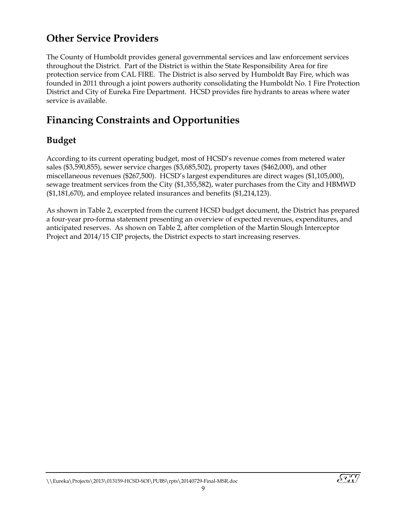# <span id="page-13-0"></span>**Other Service Providers**

The County of Humboldt provides general governmental services and law enforcement services throughout the District. Part of the District is within the State Responsibility Area for fire protection service from CAL FIRE. The District is also served by Humboldt Bay Fire, which was founded in 2011 through a joint powers authority consolidating the Humboldt No. 1 Fire Protection District and City of Eureka Fire Department. HCSD provides fire hydrants to areas where water service is available.

# <span id="page-13-1"></span>**Financing Constraints and Opportunities**

### <span id="page-13-2"></span>**Budget**

According to its current operating budget, most of HCSD's revenue comes from metered water sales (\$3,590,855), sewer service charges (\$3,685,502), property taxes (\$462,000), and other miscellaneous revenues (\$267,500). HCSD's largest expenditures are direct wages (\$1,105,000), sewage treatment services from the City (\$1,355,582), water purchases from the City and HBMWD (\$1,181,670), and employee related insurances and benefits (\$1,214,123).

As shown in Table 2, excerpted from the current HCSD budget document, the District has prepared a four-year pro-forma statement presenting an overview of expected revenues, expenditures, and anticipated reserves. As shown on Table 2, after completion of the Martin Slough Interceptor Project and 2014/15 CIP projects, the District expects to start increasing reserves.

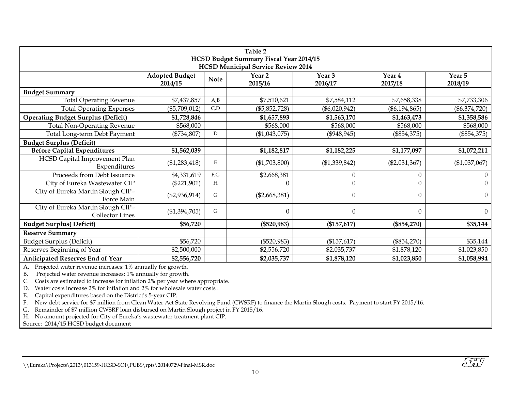| Table 2                                              |                                  |             |                   |                 |                   |                   |  |  |
|------------------------------------------------------|----------------------------------|-------------|-------------------|-----------------|-------------------|-------------------|--|--|
| HCSD Budget Summary Fiscal Year 2014/15              |                                  |             |                   |                 |                   |                   |  |  |
| <b>HCSD Municipal Service Review 2014</b><br>Year 3  |                                  |             |                   |                 |                   |                   |  |  |
|                                                      | <b>Adopted Budget</b><br>2014/15 | <b>Note</b> | Year 2<br>2015/16 | 2016/17         | Year 4<br>2017/18 | Year 5<br>2018/19 |  |  |
| <b>Budget Summary</b>                                |                                  |             |                   |                 |                   |                   |  |  |
| <b>Total Operating Revenue</b>                       | \$7,437,857                      | A,B         | \$7,510,621       | \$7,584,112     | \$7,658,338       | \$7,733,306       |  |  |
| <b>Total Operating Expenses</b>                      | $(\$5,709,012)$                  | C, D        | $(\$5,852,728)$   | $(\$6,020,942)$ | $(\$6,194,865)$   | $(\$6,374,720)$   |  |  |
| <b>Operating Budget Surplus (Deficit)</b>            | \$1,728,846                      |             | \$1,657,893       | \$1,563,170     | \$1,463,473       | \$1,358,586       |  |  |
| <b>Total Non-Operating Revenue</b>                   | \$568,000                        |             | \$568,000         | \$568,000       | \$568,000         | \$568,000         |  |  |
| Total Long-term Debt Payment                         | $(*734,807)$                     | D           | (\$1,043,075)     | (\$948, 945)    | $(\$854,375)$     | $(\$854,375)$     |  |  |
| <b>Budget Surplus (Deficit)</b>                      |                                  |             |                   |                 |                   |                   |  |  |
| <b>Before Capital Expenditures</b>                   | \$1,562,039                      |             | \$1,182,817       | \$1,182,225     | \$1,177,097       | \$1,072,211       |  |  |
| HCSD Capital Improvement Plan<br>Expenditures        | (\$1,283,418)                    | E           | (\$1,703,800)     | (\$1,339,842)   | $(\$2,031,367)$   | (\$1,037,067)     |  |  |
| Proceeds from Debt Issuance                          | \$4,331,619                      | F,G         | \$2,668,381       | $\overline{0}$  | $\theta$          | $\theta$          |  |  |
| City of Eureka Wastewater CIP                        | $(\$221,901)$                    | Н           | 0                 | 0               | $\theta$          | $\boldsymbol{0}$  |  |  |
| City of Eureka Martin Slough CIP-<br>Force Main      | $(\$2,936,914)$                  | G           | $(\$2,668,381)$   | 0               | $\theta$          | $\overline{0}$    |  |  |
| City of Eureka Martin Slough CIP-<br>Collector Lines | (\$1,394,705)                    | G           | $\theta$          | $\Omega$        | $\Omega$          | $\overline{0}$    |  |  |
| <b>Budget Surplus(Deficit)</b>                       | \$56,720                         |             | (\$520,983)       | (\$157,617)     | $(\$854,270)$     | \$35,144          |  |  |
| <b>Reserve Summary</b>                               |                                  |             |                   |                 |                   |                   |  |  |
| <b>Budget Surplus (Deficit)</b>                      | \$56,720                         |             | $(\$520,983)$     | $(\$157,617)$   | $(\$854,270)$     | \$35,144          |  |  |
| Reserves Beginning of Year                           | \$2,500,000                      |             | \$2,556,720       | \$2,035,737     | \$1,878,120       | \$1,023,850       |  |  |
| Anticipated Reserves End of Year                     | \$2,556,720                      |             | \$2,035,737       | \$1,878,120     | \$1,023,850       | \$1,058,994       |  |  |

<span id="page-14-0"></span>A. Projected water revenue increases: 1% annually for growth.

B. Projected water revenue increases: 1% annually for growth.

C. Costs are estimated to increase for inflation 2% per year where appropriate.

D. Water costs increase 2% for inflation and 2% for wholesale water costs .

E. Capital expenditures based on the District's 5-year CIP.

F. New debt service for \$7 million from Clean Water Act State Revolving Fund (CWSRF) to finance the Martin Slough costs. Payment to start FY 2015/16.

G. Remainder of \$7 million CWSRF loan disbursed on Martin Slough project in FY 2015/16.

H. No amount projected for City of Eureka's wastewater treatment plant CIP.

Source: 2014/15 HCSD budget document



<sup>\\</sup>Eureka\Projects\2013\013159-HCSD-SOI\PUBS\rpts\20140729-Final-MSR.doc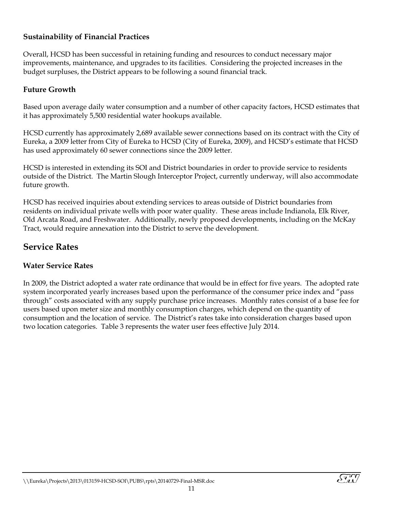#### <span id="page-15-0"></span>**Sustainability of Financial Practices**

Overall, HCSD has been successful in retaining funding and resources to conduct necessary major improvements, maintenance, and upgrades to its facilities. Considering the projected increases in the budget surpluses, the District appears to be following a sound financial track.

#### <span id="page-15-1"></span>**Future Growth**

Based upon average daily water consumption and a number of other capacity factors, HCSD estimates that it has approximately 5,500 residential water hookups available.

HCSD currently has approximately 2,689 available sewer connections based on its contract with the City of Eureka, a 2009 letter from City of Eureka to HCSD (City of Eureka, 2009), and HCSD's estimate that HCSD has used approximately 60 sewer connections since the 2009 letter.

HCSD is interested in extending its SOI and District boundaries in order to provide service to residents outside of the District. The Martin Slough Interceptor Project, currently underway, will also accommodate future growth.

HCSD has received inquiries about extending services to areas outside of District boundaries from residents on individual private wells with poor water quality. These areas include Indianola, Elk River, Old Arcata Road, and Freshwater. Additionally, newly proposed developments, including on the McKay Tract, would require annexation into the District to serve the development.

### <span id="page-15-2"></span>**Service Rates**

#### <span id="page-15-3"></span>**Water Service Rates**

In 2009, the District adopted a water rate ordinance that would be in effect for five years. The adopted rate system incorporated yearly increases based upon the performance of the consumer price index and "pass through" costs associated with any supply purchase price increases. Monthly rates consist of a base fee for users based upon meter size and monthly consumption charges, which depend on the quantity of consumption and the location of service. The District's rates take into consideration charges based upon two location categories. Table 3 represents the water user fees effective July 2014.

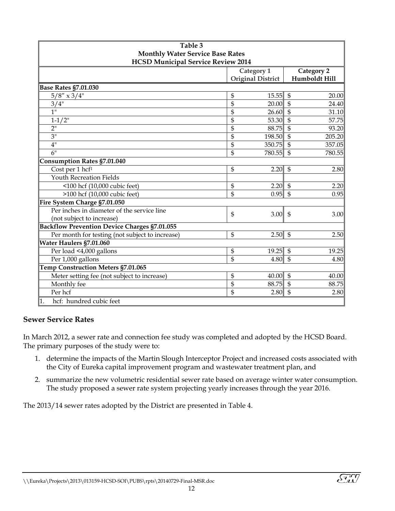<span id="page-16-1"></span>

| Table 3                                             |            |                          |                           |               |  |  |  |
|-----------------------------------------------------|------------|--------------------------|---------------------------|---------------|--|--|--|
| <b>Monthly Water Service Base Rates</b>             |            |                          |                           |               |  |  |  |
| <b>HCSD Municipal Service Review 2014</b>           |            |                          |                           |               |  |  |  |
|                                                     | Category 2 |                          |                           |               |  |  |  |
|                                                     |            | <b>Original District</b> |                           | Humboldt Hill |  |  |  |
| <b>Base Rates §7.01.030</b>                         |            |                          |                           |               |  |  |  |
| $5/8'' \times 3/4''$                                | \$         | 15.55                    | $\mathfrak{S}$            | 20.00         |  |  |  |
| 3/4"                                                | \$         | 20.00                    | $\overline{\mathcal{S}}$  | 24.40         |  |  |  |
| 1"                                                  | \$         | 26.60                    | $\mathfrak{S}$            | 31.10         |  |  |  |
| $1 - 1/2$ "                                         | \$         | 53.30                    | $\mathfrak{S}$            | 57.75         |  |  |  |
| 2 <sup>11</sup>                                     | \$         | 88.75                    | $\overline{\mathbb{S}}$   | 93.20         |  |  |  |
| 3"                                                  | \$         | 198.50                   | $\mathfrak{S}$            | 205.20        |  |  |  |
| 4"                                                  | \$         | 350.75                   | $\overline{\mathcal{S}}$  | 357.05        |  |  |  |
| 6"                                                  | \$         | 780.55                   | $\mathfrak{S}$            | 780.55        |  |  |  |
| <b>Consumption Rates §7.01.040</b>                  |            |                          |                           |               |  |  |  |
| Cost per 1 hcf <sup>1</sup>                         | \$         | 2.20                     | $\mathfrak{S}$            | 2.80          |  |  |  |
| <b>Youth Recreation Fields</b>                      |            |                          |                           |               |  |  |  |
| <100 hcf (10,000 cubic feet)                        | \$         | 2.20                     | $\mathfrak{S}$            | 2.20          |  |  |  |
| >100 hcf (10,000 cubic feet)                        | \$         | 0.95                     | $\mathfrak{S}$            | 0.95          |  |  |  |
| Fire System Charge §7.01.050                        |            |                          |                           |               |  |  |  |
| Per inches in diameter of the service line          | \$         | 3.00                     | $\mathfrak{S}$            | 3.00          |  |  |  |
| (not subject to increase)                           |            |                          |                           |               |  |  |  |
| <b>Backflow Prevention Device Charges §7.01.055</b> |            |                          |                           |               |  |  |  |
| Per month for testing (not subject to increase)     | \$         | 2.50                     | $\mathfrak{s}$            | 2.50          |  |  |  |
| Water Haulers §7.01.060                             |            |                          |                           |               |  |  |  |
| Per load <4,000 gallons                             | \$         | 19.25                    | $\boldsymbol{\mathsf{S}}$ | 19.25         |  |  |  |
| Per 1,000 gallons                                   | \$         | 4.80                     | $\overline{\mathbb{S}}$   | 4.80          |  |  |  |
| Temp Construction Meters §7.01.065                  |            |                          |                           |               |  |  |  |
| Meter setting fee (not subject to increase)         | \$         | 40.00                    | $\mathfrak{S}$            | 40.00         |  |  |  |
| Monthly fee                                         | \$         | 88.75                    | $\mathfrak{S}$            | 88.75         |  |  |  |
| Per hcf                                             | \$         | 2.80                     | $\mathfrak{S}$            | 2.80          |  |  |  |
| hcf: hundred cubic feet<br>1.                       |            |                          |                           |               |  |  |  |

#### <span id="page-16-0"></span>**Sewer Service Rates**

In March 2012, a sewer rate and connection fee study was completed and adopted by the HCSD Board. The primary purposes of the study were to:

- 1. determine the impacts of the Martin Slough Interceptor Project and increased costs associated with the City of Eureka capital improvement program and wastewater treatment plan, and
- 2. summarize the new volumetric residential sewer rate based on average winter water consumption. The study proposed a sewer rate system projecting yearly increases through the year 2016.

The 2013/14 sewer rates adopted by the District are presented in Table 4.

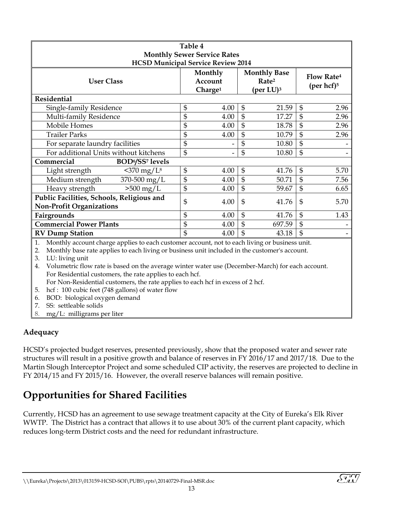<span id="page-17-2"></span>

| Table 4                                   |                |                     |                     |                       |                   |                           |  |  |
|-------------------------------------------|----------------|---------------------|---------------------|-----------------------|-------------------|---------------------------|--|--|
| <b>Monthly Sewer Service Rates</b>        |                |                     |                     |                       |                   |                           |  |  |
| <b>HCSD Municipal Service Review 2014</b> |                |                     |                     |                       |                   |                           |  |  |
|                                           |                | Monthly             | <b>Monthly Base</b> |                       | <b>Flow Rate4</b> |                           |  |  |
| <b>User Class</b>                         |                | Account             |                     | Rate <sup>2</sup>     |                   |                           |  |  |
|                                           |                | Charge <sup>1</sup> |                     | (per LU) <sup>3</sup> |                   | (per $hcf$ ) <sup>5</sup> |  |  |
| Residential                               |                |                     |                     |                       |                   |                           |  |  |
| Single-family Residence                   | \$             | 4.00                | $\mathfrak{S}$      | 21.59                 | $\mathfrak{S}$    | 2.96                      |  |  |
| Multi-family Residence                    | \$             | 4.00                | \$                  | 17.27                 | $\mathfrak{S}$    | 2.96                      |  |  |
| Mobile Homes                              | \$             | 4.00                | \$                  | 18.78                 | \$                | 2.96                      |  |  |
| <b>Trailer Parks</b>                      | \$             | 4.00                | \$                  | 10.79                 | $\mathfrak{S}$    | 2.96                      |  |  |
| For separate laundry facilities           | \$             |                     | \$                  | 10.80                 | \$                |                           |  |  |
| For additional Units without kitchens     | $\mathfrak{S}$ |                     | \$                  | 10.80                 | $\mathfrak{S}$    |                           |  |  |
| Commercial<br><b>BOD%SS7</b> levels       |                |                     |                     |                       |                   |                           |  |  |
| $<$ 370 mg/L $8$<br>Light strength        | \$             | 4.00                | $\mathfrak{S}$      | 41.76                 | $\mathfrak{S}$    | 5.70                      |  |  |
| Medium strength<br>370-500 mg/L           | \$             | 4.00                | \$                  | 50.71                 | \$                | 7.56                      |  |  |
| $>500$ mg/L<br>Heavy strength             | \$             | 4.00                | \$                  | 59.67                 | \$                | 6.65                      |  |  |
| Public Facilities, Schools, Religious and | \$             | 4.00                | $\mathfrak{S}$      | 41.76                 | $\mathfrak{S}$    | 5.70                      |  |  |
| <b>Non-Profit Organizations</b>           |                |                     |                     |                       |                   |                           |  |  |
| Fairgrounds                               | \$             | 4.00                | $\mathfrak{S}$      | 41.76                 | \$                | 1.43                      |  |  |
| <b>Commercial Power Plants</b>            | \$             | 4.00                | \$                  | 697.59                | \$                |                           |  |  |
| <b>RV Dump Station</b>                    | \$             | 4.00                | $\mathbf{S}$        | 43.18                 | \$                |                           |  |  |

1. Monthly account charge applies to each customer account, not to each living or business unit.

2. Monthly base rate applies to each living or business unit included in the customer's account.

3. LU: living unit

4. Volumetric flow rate is based on the average winter water use (December-March) for each account. For Residential customers, the rate applies to each hcf.

For Non-Residential customers, the rate applies to each hcf in excess of 2 hcf.

5. hcf : 100 cubic feet (748 gallons) of water flow 6. BOD: biological oxygen demand

7. SS: settleable solids

8. mg/L: milligrams per liter

#### <span id="page-17-0"></span>**Adequacy**

HCSD's projected budget reserves, presented previously, show that the proposed water and sewer rate structures will result in a positive growth and balance of reserves in FY 2016/17 and 2017/18. Due to the Martin Slough Interceptor Project and some scheduled CIP activity, the reserves are projected to decline in FY 2014/15 and FY 2015/16. However, the overall reserve balances will remain positive.

# <span id="page-17-1"></span>**Opportunities for Shared Facilities**

Currently, HCSD has an agreement to use sewage treatment capacity at the City of Eureka's Elk River WWTP. The District has a contract that allows it to use about 30% of the current plant capacity, which reduces long-term District costs and the need for redundant infrastructure.

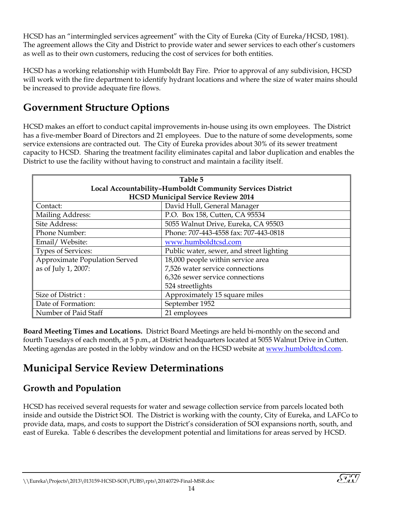HCSD has an "intermingled services agreement" with the City of Eureka (City of Eureka/HCSD, 1981). The agreement allows the City and District to provide water and sewer services to each other's customers as well as to their own customers, reducing the cost of services for both entities.

HCSD has a working relationship with Humboldt Bay Fire. Prior to approval of any subdivision, HCSD will work with the fire department to identify hydrant locations and where the size of water mains should be increased to provide adequate fire flows.

# <span id="page-18-0"></span>**Government Structure Options**

HCSD makes an effort to conduct capital improvements in-house using its own employees. The District has a five-member Board of Directors and 21 employees. Due to the nature of some developments, some service extensions are contracted out. The City of Eureka provides about 30% of its sewer treatment capacity to HCSD. Sharing the treatment facility eliminates capital and labor duplication and enables the District to use the facility without having to construct and maintain a facility itself.

<span id="page-18-3"></span>

| Table 5                                                   |                                          |  |  |  |  |
|-----------------------------------------------------------|------------------------------------------|--|--|--|--|
| Local Accountability-Humboldt Community Services District |                                          |  |  |  |  |
| <b>HCSD Municipal Service Review 2014</b>                 |                                          |  |  |  |  |
| Contact:                                                  | David Hull, General Manager              |  |  |  |  |
| Mailing Address:                                          | P.O. Box 158, Cutten, CA 95534           |  |  |  |  |
| Site Address:                                             | 5055 Walnut Drive, Eureka, CA 95503      |  |  |  |  |
| Phone Number:                                             | Phone: 707-443-4558 fax: 707-443-0818    |  |  |  |  |
| Email/Website:                                            | www.humboldtcsd.com                      |  |  |  |  |
| <b>Types of Services:</b>                                 | Public water, sewer, and street lighting |  |  |  |  |
| Approximate Population Served                             | 18,000 people within service area        |  |  |  |  |
| as of July 1, 2007:                                       | 7,526 water service connections          |  |  |  |  |
| 6,326 sewer service connections                           |                                          |  |  |  |  |
|                                                           | 524 streetlights                         |  |  |  |  |
| Size of District:                                         | Approximately 15 square miles            |  |  |  |  |
| Date of Formation:                                        | September 1952                           |  |  |  |  |
| Number of Paid Staff                                      | 21 employees                             |  |  |  |  |

**Board Meeting Times and Locations.** District Board Meetings are held bi-monthly on the second and fourth Tuesdays of each month, at 5 p.m., at District headquarters located at 5055 Walnut Drive in Cutten. Meeting agendas are posted in the lobby window and on the HCSD website a[t www.humboldtcsd.com.](http://www.humboldtcsd.com/)

# <span id="page-18-1"></span>**Municipal Service Review Determinations**

## <span id="page-18-2"></span>**Growth and Population**

HCSD has received several requests for water and sewage collection service from parcels located both inside and outside the District SOI. The District is working with the county, City of Eureka, and LAFCo to provide data, maps, and costs to support the District's consideration of SOI expansions north, south, and east of Eureka. Table 6 describes the development potential and limitations for areas served by HCSD.

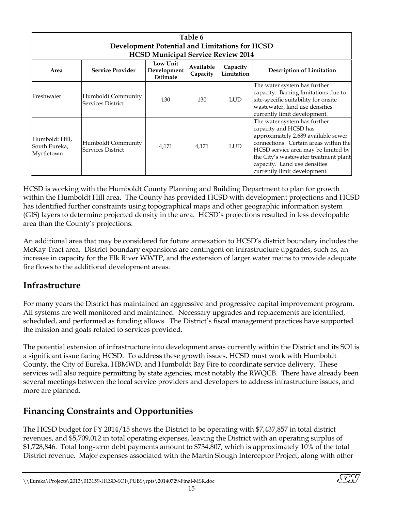<span id="page-19-2"></span>

| Table 6<br>Development Potential and Limitations for HCSD<br><b>HCSD Municipal Service Review 2014</b> |                                                |                                     |                       |                        |                                                                                                                                                                                                                                                                                       |  |  |  |
|--------------------------------------------------------------------------------------------------------|------------------------------------------------|-------------------------------------|-----------------------|------------------------|---------------------------------------------------------------------------------------------------------------------------------------------------------------------------------------------------------------------------------------------------------------------------------------|--|--|--|
| Area                                                                                                   | <b>Service Provider</b>                        | Low Unit<br>Development<br>Estimate | Available<br>Capacity | Capacity<br>Limitation | <b>Description of Limitation</b>                                                                                                                                                                                                                                                      |  |  |  |
| Freshwater                                                                                             | Humboldt Community<br><b>Services District</b> | 130                                 | 130                   | LUD.                   | The water system has further<br>capacity. Barring limitations due to<br>site-specific suitability for onsite<br>wastewater, land use densities<br>currently limit development.                                                                                                        |  |  |  |
| Humboldt Hill,<br>South Eureka,<br>Myrtletown                                                          | Humboldt Community<br>Services District        | 4,171                               | 4,171                 | <b>LUD</b>             | The water system has further<br>capacity and HCSD has<br>approximately 2,689 available sewer<br>connections. Certain areas within the<br>HCSD service area may be limited by<br>the City's wastewater treatment plant<br>capacity. Land use densities<br>currently limit development. |  |  |  |

HCSD is working with the Humboldt County Planning and Building Department to plan for growth within the Humboldt Hill area. The County has provided HCSD with development projections and HCSD has identified further constraints using topographical maps and other geographic information system (GIS) layers to determine projected density in the area. HCSD's projections resulted in less developable area than the County's projections.

An additional area that may be considered for future annexation to HCSD's district boundary includes the McKay Tract area. District boundary expansions are contingent on infrastructure upgrades, such as, an increase in capacity for the Elk River WWTP, and the extension of larger water mains to provide adequate fire flows to the additional development areas.

### <span id="page-19-0"></span>**Infrastructure**

For many years the District has maintained an aggressive and progressive capital improvement program. All systems are well monitored and maintained. Necessary upgrades and replacements are identified, scheduled, and performed as funding allows. The District's fiscal management practices have supported the mission and goals related to services provided.

The potential extension of infrastructure into development areas currently within the District and its SOI is a significant issue facing HCSD. To address these growth issues, HCSD must work with Humboldt County, the City of Eureka, HBMWD, and Humboldt Bay Fire to coordinate service delivery. These services will also require permitting by state agencies, most notably the RWQCB. There have already been several meetings between the local service providers and developers to address infrastructure issues, and more are planned.

## <span id="page-19-1"></span>**Financing Constraints and Opportunities**

The HCSD budget for FY 2014/15 shows the District to be operating with \$7,437,857 in total district revenues, and \$5,709,012 in total operating expenses, leaving the District with an operating surplus of \$1,728,846. Total long-term debt payments amount to \$734,807, which is approximately 10% of the total District revenue. Major expenses associated with the Martin Slough Interceptor Project, along with other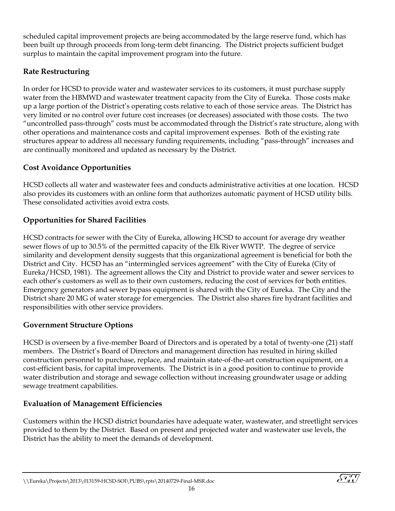scheduled capital improvement projects are being accommodated by the large reserve fund, which has been built up through proceeds from long-term debt financing. The District projects sufficient budget surplus to maintain the capital improvement program into the future.

#### <span id="page-20-0"></span>**Rate Restructuring**

In order for HCSD to provide water and wastewater services to its customers, it must purchase supply water from the HBMWD and wastewater treatment capacity from the City of Eureka. Those costs make up a large portion of the District's operating costs relative to each of those service areas. The District has very limited or no control over future cost increases (or decreases) associated with those costs. The two "uncontrolled pass-through" costs must be accommodated through the District's rate structure, along with other operations and maintenance costs and capital improvement expenses. Both of the existing rate structures appear to address all necessary funding requirements, including "pass-through" increases and are continually monitored and updated as necessary by the District.

#### <span id="page-20-1"></span>**Cost Avoidance Opportunities**

HCSD collects all water and wastewater fees and conducts administrative activities at one location. HCSD also provides its customers with an online form that authorizes automatic payment of HCSD utility bills. These consolidated activities avoid extra costs.

#### <span id="page-20-2"></span>**Opportunities for Shared Facilities**

HCSD contracts for sewer with the City of Eureka, allowing HCSD to account for average dry weather sewer flows of up to 30.5% of the permitted capacity of the Elk River WWTP. The degree of service similarity and development density suggests that this organizational agreement is beneficial for both the District and City. HCSD has an "intermingled services agreement" with the City of Eureka (City of Eureka/HCSD, 1981). The agreement allows the City and District to provide water and sewer services to each other's customers as well as to their own customers, reducing the cost of services for both entities. Emergency generators and sewer bypass equipment is shared with the City of Eureka. The City and the District share 20 MG of water storage for emergencies. The District also shares fire hydrant facilities and responsibilities with other service providers.

#### <span id="page-20-3"></span>**Government Structure Options**

HCSD is overseen by a five-member Board of Directors and is operated by a total of twenty-one (21) staff members. The District's Board of Directors and management direction has resulted in hiring skilled construction personnel to purchase, replace, and maintain state-of-the-art construction equipment, on a cost-efficient basis, for capital improvements. The District is in a good position to continue to provide water distribution and storage and sewage collection without increasing groundwater usage or adding sewage treatment capabilities.

#### <span id="page-20-4"></span>**Evaluation of Management Efficiencies**

Customers within the HCSD district boundaries have adequate water, wastewater, and streetlight services provided to them by the District. Based on present and projected water and wastewater use levels, the District has the ability to meet the demands of development.

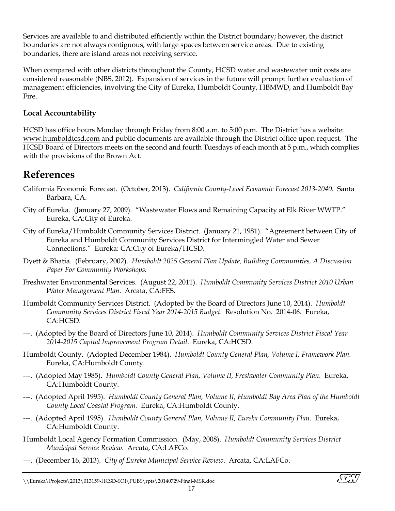Services are available to and distributed efficiently within the District boundary; however, the district boundaries are not always contiguous, with large spaces between service areas. Due to existing boundaries, there are island areas not receiving service.

When compared with other districts throughout the County, HCSD water and wastewater unit costs are considered reasonable (NBS, 2012). Expansion of services in the future will prompt further evaluation of management efficiencies, involving the City of Eureka, Humboldt County, HBMWD, and Humboldt Bay Fire.

#### <span id="page-21-0"></span>**Local Accountability**

HCSD has office hours Monday through Friday from 8:00 a.m. to 5:00 p.m. The District has a website: [www.humboldtcsd.com](http://www.humboldtcsd.com/) and public documents are available through the District office upon request. The HCSD Board of Directors meets on the second and fourth Tuesdays of each month at 5 p.m., which complies with the provisions of the Brown Act.

# <span id="page-21-1"></span>**References**

- California Economic Forecast. (October, 2013). *California County-Level Economic Forecast 2013-2040.* Santa Barbara, CA.
- City of Eureka. (January 27, 2009). "Wastewater Flows and Remaining Capacity at Elk River WWTP." Eureka, CA:City of Eureka.
- City of Eureka/Humboldt Community Services District. (January 21, 1981). "Agreement between City of Eureka and Humboldt Community Services District for Intermingled Water and Sewer Connections." Eureka: CA:City of Eureka/HCSD.
- Dyett & Bhatia. (February, 2002). *Humboldt 2025 General Plan Update, Building Communities, A Discussion Paper For Community Workshops.*
- Freshwater Environmental Services. (August 22, 2011). *Humboldt Community Services District 2010 Urban Water Management Plan*. Arcata, CA:FES.
- Humboldt Community Services District. (Adopted by the Board of Directors June 10, 2014). *Humboldt Community Services District Fiscal Year 2014-2015 Budget*. Resolution No. 2014-06. Eureka, CA:HCSD.
- ---. (Adopted by the Board of Directors June 10, 2014). *Humboldt Community Services District Fiscal Year 2014-2015 Capital Improvement Program Detail.* Eureka, CA:HCSD.
- Humboldt County. (Adopted December 1984). *Humboldt County General Plan, Volume I, Framework Plan.* Eureka, CA:Humboldt County.
- ---. (Adopted May 1985). *Humboldt County General Plan, Volume II, Freshwater Community Plan.* Eureka, CA:Humboldt County.
- ---. (Adopted April 1995). *Humboldt County General Plan, Volume II, Humboldt Bay Area Plan of the Humboldt County Local Coastal Program.* Eureka, CA:Humboldt County.
- ---. (Adopted April 1995). *Humboldt County General Plan, Volume II, Eureka Community Plan.* Eureka, CA:Humboldt County.
- Humboldt Local Agency Formation Commission. (May, 2008). *Humboldt Community Services District Municipal Service Review*. Arcata, CA:LAFCo.
- ---. (December 16, 2013). *City of Eureka Municipal Service Review*. Arcata, CA:LAFCo.